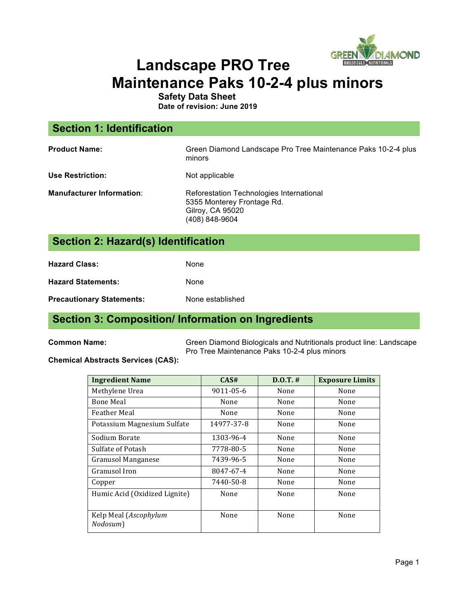

# **Landscape PRO Tree Maintenance Paks 10-2-4 plus minors**

**Safety Data Sheet**

**Date of revision: June 2019**

| <b>Section 1: Identification</b> |                                                                                                              |
|----------------------------------|--------------------------------------------------------------------------------------------------------------|
| <b>Product Name:</b>             | Green Diamond Landscape Pro Tree Maintenance Paks 10-2-4 plus<br>minors                                      |
| <b>Use Restriction:</b>          | Not applicable                                                                                               |
| <b>Manufacturer Information:</b> | Reforestation Technologies International<br>5355 Monterey Frontage Rd.<br>Gilroy, CA 95020<br>(408) 848-9604 |

# **Section 2: Hazard(s) Identification**

| <b>Hazard Class:</b>             | None             |
|----------------------------------|------------------|
| <b>Hazard Statements:</b>        | None             |
| <b>Precautionary Statements:</b> | None established |

# **Section 3: Composition/ Information on Ingredients**

**Common Name:** Green Diamond Biologicals and Nutritionals product line: Landscape Pro Tree Maintenance Paks 10-2-4 plus minors

#### **Chemical Abstracts Services (CAS):**

| <b>Ingredient Name</b>            | CAS#       | $D.0.T.$ # | <b>Exposure Limits</b> |
|-----------------------------------|------------|------------|------------------------|
| Methylene Urea                    | 9011-05-6  | None       | None                   |
| <b>Bone Meal</b>                  | None       | None       | None                   |
| <b>Feather Meal</b>               | None       | None       | None                   |
| Potassium Magnesium Sulfate       | 14977-37-8 | None       | None                   |
| Sodium Borate                     | 1303-96-4  | None       | None                   |
| Sulfate of Potash                 | 7778-80-5  | None       | None                   |
| <b>Granusol Manganese</b>         | 7439-96-5  | None       | None                   |
| Granusol Iron                     | 8047-67-4  | None       | None                   |
| Copper                            | 7440-50-8  | None       | None                   |
| Humic Acid (Oxidized Lignite)     | None       | None       | None                   |
| Kelp Meal (Ascophylum<br>Nodosum) | None       | None       | None                   |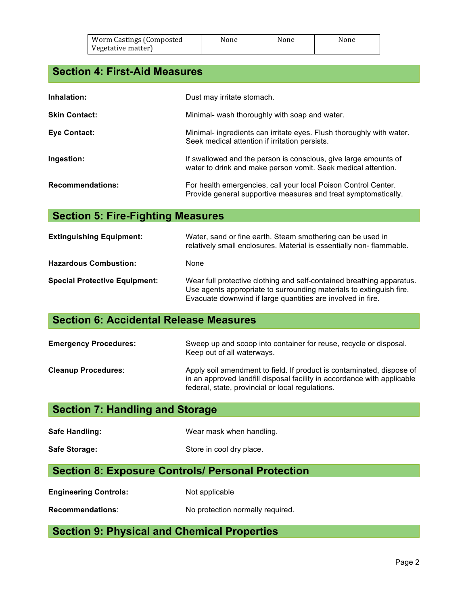| Worm Castings (Composted | None | None | None |
|--------------------------|------|------|------|
| Vegetative matter)       |      |      |      |

# **Section 4: First-Aid Measures**

| Inhalation:             | Dust may irritate stomach.                                                                                                       |
|-------------------------|----------------------------------------------------------------------------------------------------------------------------------|
| <b>Skin Contact:</b>    | Minimal- wash thoroughly with soap and water.                                                                                    |
| Eye Contact:            | Minimal- ingredients can irritate eyes. Flush thoroughly with water.<br>Seek medical attention if irritation persists.           |
| Ingestion:              | If swallowed and the person is conscious, give large amounts of<br>water to drink and make person vomit. Seek medical attention. |
| <b>Recommendations:</b> | For health emergencies, call your local Poison Control Center.<br>Provide general supportive measures and treat symptomatically. |

# **Section 5: Fire-Fighting Measures**

| <b>Extinguishing Equipment:</b>      | Water, sand or fine earth. Steam smothering can be used in<br>relatively small enclosures. Material is essentially non-flammable.                                                                           |
|--------------------------------------|-------------------------------------------------------------------------------------------------------------------------------------------------------------------------------------------------------------|
| <b>Hazardous Combustion:</b>         | None                                                                                                                                                                                                        |
| <b>Special Protective Equipment:</b> | Wear full protective clothing and self-contained breathing apparatus.<br>Use agents appropriate to surrounding materials to extinguish fire.<br>Evacuate downwind if large quantities are involved in fire. |

# **Section 6: Accidental Release Measures**

| <b>Emergency Procedures:</b> | Sweep up and scoop into container for reuse, recycle or disposal.<br>Keep out of all waterways.                                                                                                      |
|------------------------------|------------------------------------------------------------------------------------------------------------------------------------------------------------------------------------------------------|
| <b>Cleanup Procedures:</b>   | Apply soil amendment to field. If product is contaminated, dispose of<br>in an approved landfill disposal facility in accordance with applicable<br>federal, state, provincial or local regulations. |

# **Section 7: Handling and Storage**

| Wear mask when handling. |
|--------------------------|
|                          |

Safe Storage: Safe Storage: Store in cool dry place.

#### **Section 8: Exposure Controls/ Personal Protection**

**Engineering Controls:** Not applicable

**Recommendations**: No protection normally required.

# **Section 9: Physical and Chemical Properties**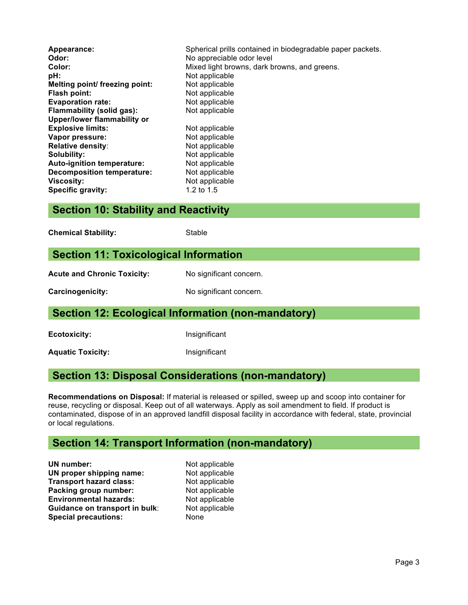| Appearance:<br>Odor:<br>Color:<br>pH:<br>Melting point/ freezing point:<br>Flash point:<br><b>Evaporation rate:</b> | Spherical prills contained in biodegradable paper packets.<br>No appreciable odor level<br>Mixed light browns, dark browns, and greens.<br>Not applicable<br>Not applicable<br>Not applicable<br>Not applicable |
|---------------------------------------------------------------------------------------------------------------------|-----------------------------------------------------------------------------------------------------------------------------------------------------------------------------------------------------------------|
| <b>Flammability (solid gas):</b><br><b>Upper/lower flammability or</b>                                              | Not applicable                                                                                                                                                                                                  |
| <b>Explosive limits:</b>                                                                                            |                                                                                                                                                                                                                 |
| Vapor pressure:                                                                                                     | Not applicable<br>Not applicable                                                                                                                                                                                |
|                                                                                                                     |                                                                                                                                                                                                                 |
| <b>Relative density:</b>                                                                                            | Not applicable                                                                                                                                                                                                  |
| Solubility:                                                                                                         | Not applicable                                                                                                                                                                                                  |
| Auto-ignition temperature:                                                                                          | Not applicable                                                                                                                                                                                                  |
| <b>Decomposition temperature:</b>                                                                                   | Not applicable                                                                                                                                                                                                  |
| <b>Viscosity:</b>                                                                                                   | Not applicable                                                                                                                                                                                                  |
| <b>Specific gravity:</b>                                                                                            | 1.2 to $1.5$                                                                                                                                                                                                    |

#### **Section 10: Stability and Reactivity**

**Chemical Stability:** Stable

#### **Section 11: Toxicological Information**

Acute and Chronic Toxicity: No significant concern.

**Carcinogenicity:** No significant concern.

#### **Section 12: Ecological Information (non-mandatory)**

**Ecotoxicity:** Insignificant

Aquatic Toxicity: **Alguatic Toxicity: Insignificant** 

#### **Section 13: Disposal Considerations (non-mandatory)**

**Recommendations on Disposal:** If material is released or spilled, sweep up and scoop into container for reuse, recycling or disposal. Keep out of all waterways. Apply as soil amendment to field. If product is contaminated, dispose of in an approved landfill disposal facility in accordance with federal, state, provincial or local regulations.

#### **Section 14: Transport Information (non-mandatory)**

**UN number:** Not applicable **UN proper shipping name:** Not applicable **Transport hazard class:** Not applicable Packing group number: Not applicable **Environmental hazards:** Not applicable **Guidance on transport in bulk:** Not applicable **Special precautions:** None